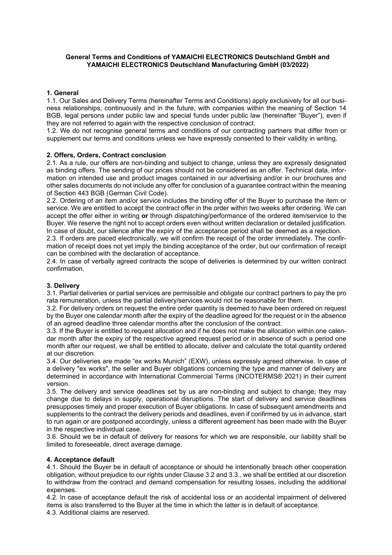# **General Terms and Conditions of YAMAICHI ELECTRONICS Deutschland GmbH and YAMAICHI ELECTRONICS Deutschland Manufacturing GmbH (03/2022)**

## **1. General**

1.1. Our Sales and Delivery Terms (hereinafter Terms and Conditions) apply exclusively for all our business relationships, continuously and in the future, with companies within the meaning of Section 14 BGB, legal persons under public law and special funds under public law (hereinafter "Buyer"), even if they are not referred to again with the respective conclusion of contract.

1.2. We do not recognise general terms and conditions of our contracting partners that differ from or supplement our terms and conditions unless we have expressly consented to their validity in writing.

### **2. Offers, Orders, Contract conclusion**

2.1. As a rule, our offers are non-binding and subject to change, unless they are expressly designated as binding offers. The sending of our prices should not be considered as an offer. Technical data, information on intended use and product images contained in our advertising and/or in our brochures and other sales documents do not include any offer for conclusion of a guarantee contract within the meaning of Section 443 BGB (German Civil Code).

2.2. Ordering of an item and/or service includes the binding offer of the Buyer to purchase the item or service. We are entitled to accept the contract offer in the order within two weeks after ordering. We can accept the offer either in writing **or** through dispatching/performance of the ordered item/service to the Buyer. We reserve the right not to accept orders even without written declaration or detailed justification. In case of doubt, our silence after the expiry of the acceptance period shall be deemed as a rejection.

2.3. If orders are paced electronically, we will confirm the receipt of the order immediately. The confirmation of receipt does not yet imply the binding acceptance of the order, but our confirmation of receipt can be combined with the declaration of acceptance.

2.4. In case of verbally agreed contracts the scope of deliveries is determined by our written contract confirmation.

### **3. Delivery**

3.1. Partial deliveries or partial services are permissible and obligate our contract partners to pay the pro rata remuneration, unless the partial delivery/services would not be reasonable for them.

3.2. For delivery orders on request the entire order quantity is deemed to have been ordered on request by the Buyer one calendar month after the expiry of the deadline agreed for the request or in the absence of an agreed deadline three calendar months after the conclusion of the contract.

3.3. If the Buyer is entitled to request allocation and if he does not make the allocation within one calendar month after the expiry of the respective agreed request period or in absence of such a period one month after our request, we shall be entitled to allocate, deliver and calculate the total quantity ordered at our discretion.

3.4. Our deliveries are made "ex works Munich" (EXW), unless expressly agreed otherwise. In case of a delivery "ex works", the seller and Buyer obligations concerning the type and manner of delivery are determined in accordance with International Commercial Terms (INCOTERMS® 2021) in their current version.

3.5. The delivery and service deadlines set by us are non-binding and subject to change; they may change due to delays in supply, operational disruptions. The start of delivery and service deadlines presupposes timely and proper execution of Buyer obligations. In case of subsequent amendments and supplements to the contract the delivery periods and deadlines, even if confirmed by us in advance, start to run again or are postponed accordingly, unless a different agreement has been made with the Buyer in the respective individual case.

3.6. Should we be in default of delivery for reasons for which we are responsible, our liability shall be limited to foreseeable, direct average damage.

### **4. Acceptance default**

4.1. Should the Buyer be in default of acceptance or should he intentionally breach other cooperation obligation, without prejudice to our rights under Clause 3.2 and 3.3., we shall be entitled at our discretion to withdraw from the contract and demand compensation for resulting losses, including the additional expenses.

4.2. In case of acceptance default the risk of accidental loss or an accidental impairment of delivered items is also transferred to the Buyer at the time in which the latter is in default of acceptance.

4.3. Additional claims are reserved.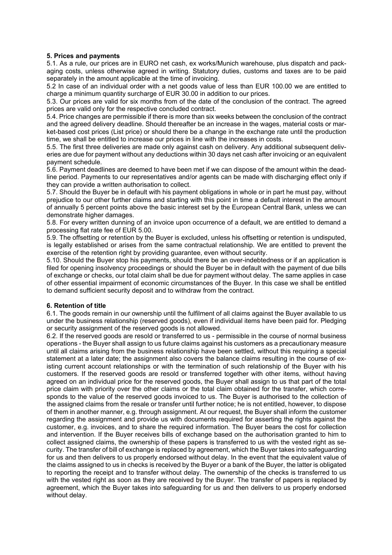## **5. Prices and payments**

5.1. As a rule, our prices are in EURO net cash, ex works/Munich warehouse, plus dispatch and packaging costs, unless otherwise agreed in writing. Statutory duties, customs and taxes are to be paid separately in the amount applicable at the time of invoicing.

5.2 In case of an individual order with a net goods value of less than EUR 100.00 we are entitled to charge a minimum quantity surcharge of EUR 30.00 in addition to our prices.

5.3. Our prices are valid for six months from of the date of the conclusion of the contract. The agreed prices are valid only for the respective concluded contract.

5.4. Price changes are permissible if there is more than six weeks between the conclusion of the contract and the agreed delivery deadline. Should thereafter be an increase in the wages, material costs or market-based cost prices (List price) or should there be a change in the exchange rate until the production time, we shall be entitled to increase our prices in line with the increases in costs.

5.5. The first three deliveries are made only against cash on delivery. Any additional subsequent deliveries are due for payment without any deductions within 30 days net cash after invoicing or an equivalent payment schedule.

5.6. Payment deadlines are deemed to have been met if we can dispose of the amount within the deadline period. Payments to our representatives and/or agents can be made with discharging effect only if they can provide a written authorisation to collect.

5.7. Should the Buyer be in default with his payment obligations in whole or in part he must pay, without prejudice to our other further claims and starting with this point in time a default interest in the amount of annually 5 percent points above the basic interest set by the European Central Bank, unless we can demonstrate higher damages.

5.8. For every written dunning of an invoice upon occurrence of a default, we are entitled to demand a processing flat rate fee of EUR 5.00.

5.9. The offsetting or retention by the Buyer is excluded, unless his offsetting or retention is undisputed, is legally established or arises from the same contractual relationship. We are entitled to prevent the exercise of the retention right by providing guarantee, even without security.

5.10. Should the Buyer stop his payments, should there be an over-indebtedness or if an application is filed for opening insolvency proceedings or should the Buyer be in default with the payment of due bills of exchange or checks, our total claim shall be due for payment without delay. The same applies in case of other essential impairment of economic circumstances of the Buyer. In this case we shall be entitled to demand sufficient security deposit and to withdraw from the contract.

# **6. Retention of title**

6.1. The goods remain in our ownership until the fulfilment of all claims against the Buyer available to us under the business relationship (reserved goods), even if individual items have been paid for. Pledging or security assignment of the reserved goods is not allowed.

6.2. If the reserved goods are resold or transferred to us - permissible in the course of normal business operations - the Buyer shall assign to us future claims against his customers as a precautionary measure until all claims arising from the business relationship have been settled, without this requiring a special statement at a later date; the assignment also covers the balance claims resulting in the course of existing current account relationships or with the termination of such relationship of the Buyer with his customers. If the reserved goods are resold or transferred together with other items, without having agreed on an individual price for the reserved goods, the Buyer shall assign to us that part of the total price claim with priority over the other claims or the total claim obtained for the transfer, which corresponds to the value of the reserved goods invoiced to us. The Buyer is authorised to the collection of the assigned claims from the resale or transfer until further notice; he is not entitled, however, to dispose of them in another manner, e.g. through assignment. At our request, the Buyer shall inform the customer regarding the assignment and provide us with documents required for asserting the rights against the customer, e.g. invoices, and to share the required information. The Buyer bears the cost for collection and intervention. If the Buyer receives bills of exchange based on the authorisation granted to him to collect assigned claims, the ownership of these papers is transferred to us with the vested right as security. The transfer of bill of exchange is replaced by agreement, which the Buyer takes into safeguarding for us and then delivers to us properly endorsed without delay. In the event that the equivalent value of the claims assigned to us in checks is received by the Buyer or a bank of the Buyer, the latter is obligated to reporting the receipt and to transfer without delay. The ownership of the checks is transferred to us with the vested right as soon as they are received by the Buyer. The transfer of papers is replaced by agreement, which the Buyer takes into safeguarding for us and then delivers to us properly endorsed without delay.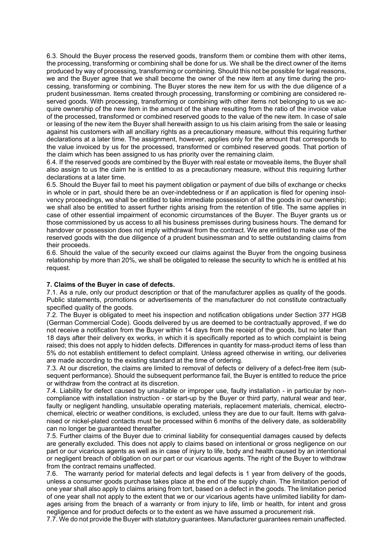6.3. Should the Buyer process the reserved goods, transform them or combine them with other items, the processing, transforming or combining shall be done for us. We shall be the direct owner of the items produced by way of processing, transforming or combining. Should this not be possible for legal reasons, we and the Buyer agree that we shall become the owner of the new item at any time during the processing, transforming or combining. The Buyer stores the new item for us with the due diligence of a prudent businessman. Items created through processing, transforming or combining are considered reserved goods. With processing, transforming or combining with other items not belonging to us we acquire ownership of the new item in the amount of the share resulting from the ratio of the invoice value of the processed, transformed or combined reserved goods to the value of the new item. In case of sale or leasing of the new item the Buyer shall herewith assign to us his claim arising from the sale or leasing against his customers with all ancillary rights as a precautionary measure, without this requiring further declarations at a later time. The assignment, however, applies only for the amount that corresponds to the value invoiced by us for the processed, transformed or combined reserved goods. That portion of the claim which has been assigned to us has priority over the remaining claim.

6.4. If the reserved goods are combined by the Buyer with real estate or moveable items, the Buyer shall also assign to us the claim he is entitled to as a precautionary measure, without this requiring further declarations at a later time.

6.5. Should the Buyer fail to meet his payment obligation or payment of due bills of exchange or checks in whole or in part, should there be an over-indebtedness or if an application is filed for opening insolvency proceedings, we shall be entitled to take immediate possession of all the goods in our ownership; we shall also be entitled to assert further rights arising from the retention of title. The same applies in case of other essential impairment of economic circumstances of the Buyer. The Buyer grants us or those commissioned by us access to all his business premisses during business hours. The demand for handover or possession does not imply withdrawal from the contract. We are entitled to make use of the reserved goods with the due diligence of a prudent businessman and to settle outstanding claims from their proceeds.

6.6. Should the value of the security exceed our claims against the Buyer from the ongoing business relationship by more than 20%, we shall be obligated to release the security to which he is entitled at his request.

### **7. Claims of the Buyer in case of defects.**

7.1. As a rule, only our product description or that of the manufacturer applies as quality of the goods. Public statements, promotions or advertisements of the manufacturer do not constitute contractually specified quality of the goods.

7.2. The Buyer is obligated to meet his inspection and notification obligations under Section 377 HGB (German Commercial Code). Goods delivered by us are deemed to be contractually approved, if we do not receive a notification from the Buyer within 14 days from the receipt of the goods, but no later than 18 days after their delivery ex works, in which it is specifically reported as to which complaint is being raised; this does not apply to hidden defects. Differences in quantity for mass-product items of less than 5% do not establish entitlement to defect complaint. Unless agreed otherwise in writing, our deliveries are made according to the existing standard at the time of ordering.

7.3. At our discretion, the claims are limited to removal of defects or delivery of a defect-free item (subsequent performance). Should the subsequent performance fail, the Buyer is entitled to reduce the price or withdraw from the contract at its discretion.

7.4. Liability for defect caused by unsuitable or improper use, faulty installation - in particular by noncompliance with installation instruction - or start-up by the Buyer or third party, natural wear and tear, faulty or negligent handling, unsuitable operating materials, replacement materials, chemical, electrochemical, electric or weather conditions, is excluded, unless they are due to our fault. Items with galvanised or nickel-plated contacts must be processed within 6 months of the delivery date, as solderability can no longer be guaranteed thereafter.

7.5. Further claims of the Buyer due to criminal liability for consequential damages caused by defects are generally excluded. This does not apply to claims based on intentional or gross negligence on our part or our vicarious agents as well as in case of injury to life, body and health caused by an intentional or negligent breach of obligation on our part or our vicarious agents. The right of the Buyer to withdraw from the contract remains unaffected.

7.6. The warranty period for material defects and legal defects is 1 year from delivery of the goods, unless a consumer goods purchase takes place at the end of the supply chain. The limitation period of one year shall also apply to claims arising from tort, based on a defect in the goods. The limitation period of one year shall not apply to the extent that we or our vicarious agents have unlimited liability for damages arising from the breach of a warranty or from injury to life, limb or health, for intent and gross negligence and for product defects or to the extent as we have assumed a procurement risk.

7.7. We do not provide the Buyer with statutory guarantees. Manufacturer guarantees remain unaffected.